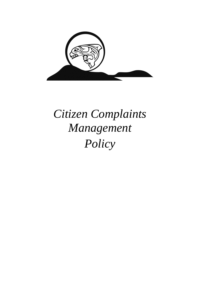

# *Citizen Complaints Management Policy*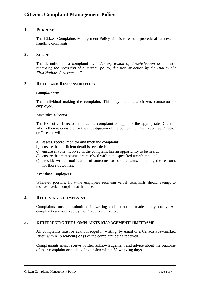# **1. PURPOSE**

The Citizen Complaints Management Policy aim is to ensure procedural fairness in handling complaints.

## **2. SCOPE**

The definition of a complaint is: "*An expression of dissatisfaction or concern regarding the provision of a service, policy, decision or action by the Huu-ay-aht First Nations Government."*

# **3. ROLES AND RESPONSIBILITIES**

#### *Complainant:*

The individual making the complaint. This may include: a citizen, contractor or employee.

#### *Executive Director:*

The Executive Director handles the complaint or appoints the appropriate Director, who is then responsible for the investigation of the complaint. The Executive Director or Director will:

- a) assess, record, monitor and track the complaint;
- b) ensure that sufficient detail is recorded;
- c) ensure anyone involved in the complaint has an opportunity to be heard;
- d) ensure that complaints are resolved within the specified timeframe; and
- e) provide written notification of outcomes to complainants, including the reason/s for those outcomes.

#### *Frontline Employees:*

Wherever possible, front-line employees receiving verbal complaints should attempt to resolve a verbal complaint at that time.

# **4. RECEIVING A COMPLAINT**

Complaints must be submitted in writing and cannot be made anonymously. All complaints are received by the Executive Director.

## **5. DETERMINING THE COMPLAINTS MANAGEMENT TIMEFRAME**

All complaints must be acknowledged in writing, by email or a Canada Post-marked letter, within 1**5 working days** of the complaint being received.

Complainants must receive written acknowledgement and advice about the outcome of their complaint or notice of extension within **60 working days**.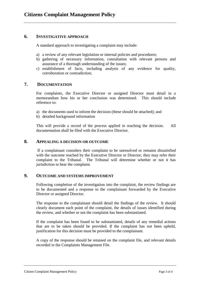# **6. INVESTIGATIVE APPROACH**

A standard approach to investigating a complaint may include:

- a) a review of any relevant legislation or internal policies and procedures;
- b) gathering of necessary information, consultation with relevant persons and assurance of a thorough understanding of the issues;
- c) establishment of facts, including analysis of any evidence for quality, corroboration or contradiction;

## **7. DOCUMENTATION**

For complaints, the Executive Director or assigned Director must detail in a memorandum how his or her conclusion was determined. This should include reference to:

- a) the documents used to inform the decision (these should be attached); and
- b) detailed background information

This will provide a record of the process applied in reaching the decision. All documentation shall be filed with the Executive Director.

#### **8. APPEALING A DECISION OR OUTCOME**

If a complainant considers their complaint to be unresolved or remains dissatisfied with the outcome reached by the Executive Director or Director, they may refer their complaint to the Tribunal. The Tribunal will determine whether or not it has jurisdiction to hear the complaint.

# **9. OUTCOME AND SYSTEMS IMPROVEMENT**

Following completion of the investigation into the complaint, the review findings are to be documented and a response to the complainant forwarded by the Executive Director or assigned Director.

The response to the complainant should detail the findings of the review. It should clearly document each point of the complaint, the details of issues identified during the review, and whether or not the complaint has been substantiated.

If the complaint has been found to be substantiated, details of any remedial actions that are to be taken should be provided. If the complaint has not been upheld, justification for this decision must be provided to the complainant.

A copy of the response should be retained on the complaint file, and relevant details recorded in the Complaints Management File.